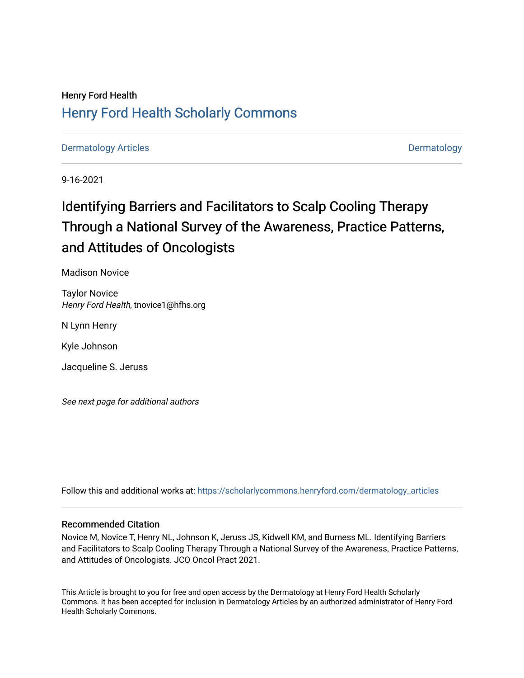# Henry Ford Health [Henry Ford Health Scholarly Commons](https://scholarlycommons.henryford.com/)

[Dermatology Articles](https://scholarlycommons.henryford.com/dermatology_articles) **Dermatology** 

9-16-2021

# Identifying Barriers and Facilitators to Scalp Cooling Therapy Through a National Survey of the Awareness, Practice Patterns, and Attitudes of Oncologists

Madison Novice

Taylor Novice Henry Ford Health, tnovice1@hfhs.org

N Lynn Henry

Kyle Johnson

Jacqueline S. Jeruss

See next page for additional authors

Follow this and additional works at: [https://scholarlycommons.henryford.com/dermatology\\_articles](https://scholarlycommons.henryford.com/dermatology_articles?utm_source=scholarlycommons.henryford.com%2Fdermatology_articles%2F601&utm_medium=PDF&utm_campaign=PDFCoverPages)

# Recommended Citation

Novice M, Novice T, Henry NL, Johnson K, Jeruss JS, Kidwell KM, and Burness ML. Identifying Barriers and Facilitators to Scalp Cooling Therapy Through a National Survey of the Awareness, Practice Patterns, and Attitudes of Oncologists. JCO Oncol Pract 2021.

This Article is brought to you for free and open access by the Dermatology at Henry Ford Health Scholarly Commons. It has been accepted for inclusion in Dermatology Articles by an authorized administrator of Henry Ford Health Scholarly Commons.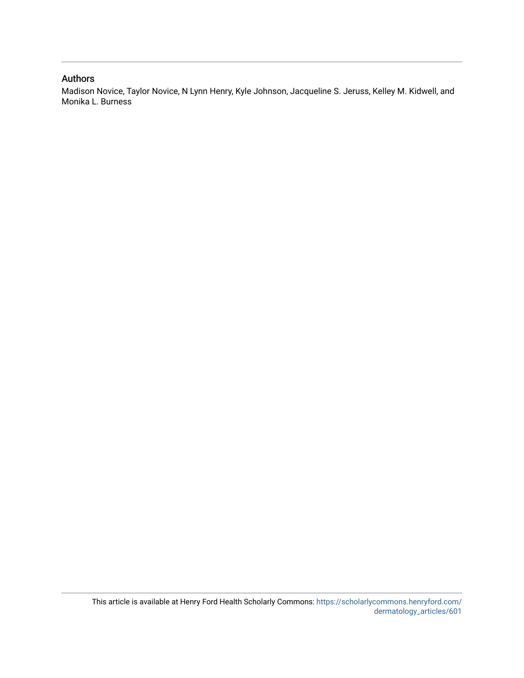# Authors

Madison Novice, Taylor Novice, N Lynn Henry, Kyle Johnson, Jacqueline S. Jeruss, Kelley M. Kidwell, and Monika L. Burness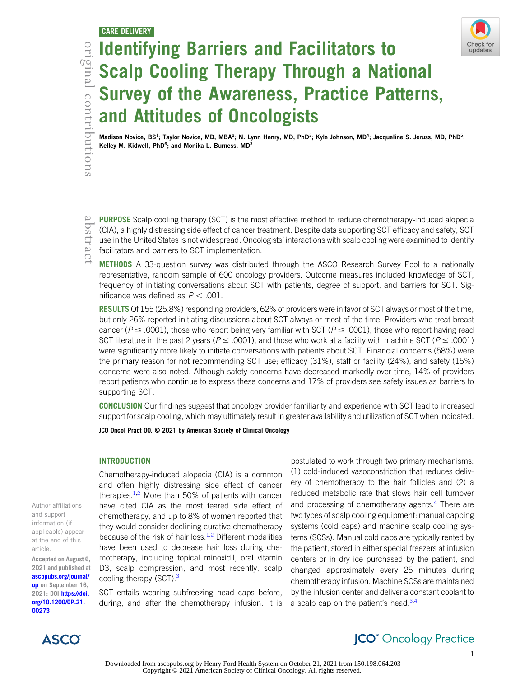

# Contrifying Barriers and Facilitators to<br>
Scalp Cooling Therapy Through a Nating 3<br>
Survey of the Awareness, Practice Parand Attitudes of Oncologists<br>
Madison Novice, BS<sup>1</sup>; Taylor Novice, MD, MBA<sup>2</sup>; N. Lynn Henry, MD, Ph Scalp Cooling Therapy Through a National Survey of the Awareness, Practice Patterns, and Attitudes of Oncologists

Madison Novice, BS<sup>1</sup>; Taylor Novice, MD, MBA<sup>2</sup>; N. Lynn Henry, MD, PhD<sup>3</sup>; Kyle Johnson, MD<sup>4</sup>; Jacqueline S. Jeruss, MD, PhD<sup>5</sup>; Kelley M. Kidwell, PhD<sup>6</sup>; and Monika L. Burness, MD<sup>3</sup>

PURPOSE Scalp cooling therapy (SCT) is the most effective method to reduce chemotherapy-induced alopecia (CIA), a highly distressing side effect of cancer treatment. Despite data supporting SCT efficacy and safety, SCT use in the United States is not widespread. Oncologists' interactions with scalp cooling were examined to identify facilitators and barriers to SCT implementation.

METHODS A 33-question survey was distributed through the ASCO Research Survey Pool to a nationally representative, random sample of 600 oncology providers. Outcome measures included knowledge of SCT, frequency of initiating conversations about SCT with patients, degree of support, and barriers for SCT. Significance was defined as  $P < .001$ .

RESULTS Of 155 (25.8%) responding providers, 62% of providers were in favor of SCT always or most of the time, but only 26% reported initiating discussions about SCT always or most of the time. Providers who treat breast cancer ( $P \leq .0001$ ), those who report being very familiar with SCT ( $P \leq .0001$ ), those who report having read SCT literature in the past 2 years ( $P \leq .0001$ ), and those who work at a facility with machine SCT ( $P \leq .0001$ ) were significantly more likely to initiate conversations with patients about SCT. Financial concerns (58%) were the primary reason for not recommending SCT use; efficacy (31%), staff or facility (24%), and safety (15%) concerns were also noted. Although safety concerns have decreased markedly over time, 14% of providers report patients who continue to express these concerns and 17% of providers see safety issues as barriers to supporting SCT.

CONCLUSION Our findings suggest that oncology provider familiarity and experience with SCT lead to increased support for scalp cooling, which may ultimately result in greater availability and utilization of SCT when indicated.

JCO Oncol Pract 00. © 2021 by American Society of Clinical Oncology

# **INTRODUCTION**

Author affiliations and support information (if applicable) appear at the end of this article.

Accepted on August 6, 2021 and published at [ascopubs.org/journal/](http://ascopubs.org/journal/op) [op](http://ascopubs.org/journal/op) on September 16, 2021: DOI [https://doi.](http://ascopubs.org/doi/full/10.1200/OP.21.00273) [org/10.1200/OP.21.](http://ascopubs.org/doi/full/10.1200/OP.21.00273) [00273](http://ascopubs.org/doi/full/10.1200/OP.21.00273)

Chemotherapy-induced alopecia (CIA) is a common and often highly distressing side effect of cancer therapies. $1,2$  $1,2$  $1,2$  More than 50% of patients with cancer have cited CIA as the most feared side effect of chemotherapy, and up to 8% of women reported that they would consider declining curative chemotherapy because of the risk of hair loss. $1,2$  $1,2$  Different modalities have been used to decrease hair loss during chemotherapy, including topical minoxidil, oral vitamin D3, scalp compression, and most recently, scalp cooling therapy (SCT).<sup>[3](#page-8-2)</sup>

SCT entails wearing subfreezing head caps before, during, and after the chemotherapy infusion. It is

postulated to work through two primary mechanisms: (1) cold-induced vasoconstriction that reduces delivery of chemotherapy to the hair follicles and (2) a reduced metabolic rate that slows hair cell turnover and processing of chemotherapy agents.<sup>[4](#page-8-3)</sup> There are two types of scalp cooling equipment: manual capping systems (cold caps) and machine scalp cooling systems (SCSs). Manual cold caps are typically rented by the patient, stored in either special freezers at infusion centers or in dry ice purchased by the patient, and changed approximately every 25 minutes during chemotherapy infusion. Machine SCSs are maintained by the infusion center and deliver a constant coolant to a scalp cap on the patient's head. $3,4$  $3,4$  $3,4$ 



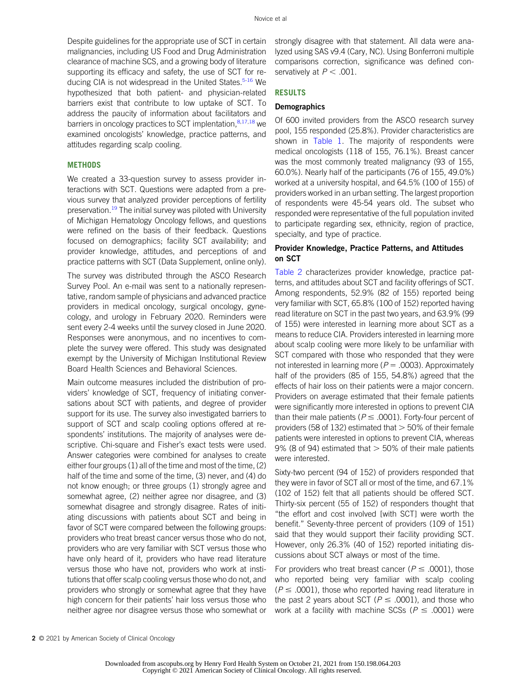Despite guidelines for the appropriate use of SCT in certain malignancies, including US Food and Drug Administration clearance of machine SCS, and a growing body of literature supporting its efficacy and safety, the use of SCT for re-ducing CIA is not widespread in the United States.<sup>5-[16](#page-8-5)</sup> We hypothesized that both patient- and physician-related barriers exist that contribute to low uptake of SCT. To address the paucity of information about facilitators and barriers in oncology practices to SCT implentation,<sup>[8,](#page-8-6)[17](#page-8-7),[18](#page-8-8)</sup> we examined oncologists' knowledge, practice patterns, and attitudes regarding scalp cooling.

## **METHODS**

We created a 33-question survey to assess provider interactions with SCT. Questions were adapted from a previous survey that analyzed provider perceptions of fertility preservation.<sup>[19](#page-8-9)</sup> The initial survey was piloted with University of Michigan Hematology Oncology fellows, and questions were refined on the basis of their feedback. Questions focused on demographics; facility SCT availability; and provider knowledge, attitudes, and perceptions of and practice patterns with SCT (Data Supplement, online only).

The survey was distributed through the ASCO Research Survey Pool. An e-mail was sent to a nationally representative, random sample of physicians and advanced practice providers in medical oncology, surgical oncology, gynecology, and urology in February 2020. Reminders were sent every 2-4 weeks until the survey closed in June 2020. Responses were anonymous, and no incentives to complete the survey were offered. This study was designated exempt by the University of Michigan Institutional Review Board Health Sciences and Behavioral Sciences.

Main outcome measures included the distribution of providers' knowledge of SCT, frequency of initiating conversations about SCT with patients, and degree of provider support for its use. The survey also investigated barriers to support of SCT and scalp cooling options offered at respondents' institutions. The majority of analyses were descriptive. Chi-square and Fisher's exact tests were used. Answer categories were combined for analyses to create either four groups (1) all of the time and most of the time, (2) half of the time and some of the time, (3) never, and (4) do not know enough; or three groups (1) strongly agree and somewhat agree, (2) neither agree nor disagree, and (3) somewhat disagree and strongly disagree. Rates of initiating discussions with patients about SCT and being in favor of SCT were compared between the following groups: providers who treat breast cancer versus those who do not, providers who are very familiar with SCT versus those who have only heard of it, providers who have read literature versus those who have not, providers who work at institutions that offer scalp cooling versus those who do not, and providers who strongly or somewhat agree that they have high concern for their patients' hair loss versus those who neither agree nor disagree versus those who somewhat or strongly disagree with that statement. All data were analyzed using SAS v9.4 (Cary, NC). Using Bonferroni multiple comparisons correction, significance was defined conservatively at  $P < .001$ .

## **RESULTS**

# **Demographics**

Of 600 invited providers from the ASCO research survey pool, 155 responded (25.8%). Provider characteristics are shown in [Table 1](#page-4-0). The majority of respondents were medical oncologists (118 of 155, 76.1%). Breast cancer was the most commonly treated malignancy (93 of 155, 60.0%). Nearly half of the participants (76 of 155, 49.0%) worked at a university hospital, and 64.5% (100 of 155) of providers worked in an urban setting. The largest proportion of respondents were 45-54 years old. The subset who responded were representative of the full population invited to participate regarding sex, ethnicity, region of practice, specialty, and type of practice.

# Provider Knowledge, Practice Patterns, and Attitudes on SCT

[Table 2](#page-5-0) characterizes provider knowledge, practice patterns, and attitudes about SCT and facility offerings of SCT. Among respondents, 52.9% (82 of 155) reported being very familiar with SCT, 65.8% (100 of 152) reported having read literature on SCT in the past two years, and 63.9% (99 of 155) were interested in learning more about SCT as a means to reduce CIA. Providers interested in learning more about scalp cooling were more likely to be unfamiliar with SCT compared with those who responded that they were not interested in learning more ( $P = .0003$ ). Approximately half of the providers (85 of 155, 54.8%) agreed that the effects of hair loss on their patients were a major concern. Providers on average estimated that their female patients were significantly more interested in options to prevent CIA than their male patients ( $P \leq .0001$ ). Forty-four percent of providers (58 of 132) estimated that  $>$  50% of their female patients were interested in options to prevent CIA, whereas 9% (8 of 94) estimated that  $>$  50% of their male patients were interested.

Sixty-two percent (94 of 152) of providers responded that they were in favor of SCT all or most of the time, and 67.1% (102 of 152) felt that all patients should be offered SCT. Thirty-six percent (55 of 152) of responders thought that "the effort and cost involved [with SCT] were worth the benefit." Seventy-three percent of providers (109 of 151) said that they would support their facility providing SCT. However, only 26.3% (40 of 152) reported initiating discussions about SCT always or most of the time.

For providers who treat breast cancer ( $P \leq .0001$ ), those who reported being very familiar with scalp cooling  $(P \le .0001)$ , those who reported having read literature in the past 2 years about SCT ( $P \leq .0001$ ), and those who work at a facility with machine SCSs ( $P \leq .0001$ ) were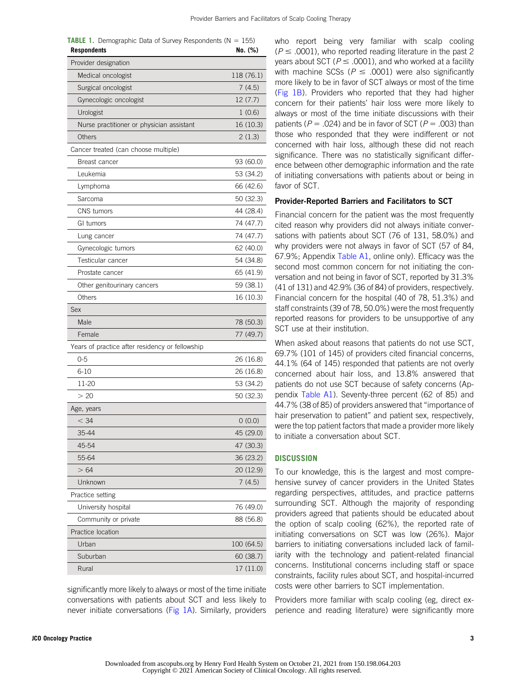| <b>Respondents</b>                              | No. (%)    |
|-------------------------------------------------|------------|
| Provider designation                            |            |
| Medical oncologist                              | 118 (76.1) |
| Surgical oncologist                             | 7(4.5)     |
| Gynecologic oncologist                          | 12(7.7)    |
| Urologist                                       | 1(0.6)     |
| Nurse practitioner or physician assistant       | 16 (10.3)  |
| Others                                          | 2(1.3)     |
| Cancer treated (can choose multiple)            |            |
| Breast cancer                                   | 93 (60.0)  |
| Leukemia                                        | 53 (34.2)  |
| Lymphoma                                        | 66 (42.6)  |
| Sarcoma                                         | 50 (32.3)  |
| <b>CNS</b> tumors                               | 44 (28.4)  |
| GI tumors                                       | 74 (47.7)  |
| Lung cancer                                     | 74 (47.7)  |
| Gynecologic tumors                              | 62 (40.0)  |
| Testicular cancer                               | 54 (34.8)  |
| Prostate cancer                                 | 65 (41.9)  |
| Other genitourinary cancers                     | 59 (38.1)  |
| Others                                          | 16 (10.3)  |
| Sex                                             |            |
| Male                                            | 78 (50.3)  |
| Female                                          | 77 (49.7)  |
| Years of practice after residency or fellowship |            |
| $0 - 5$                                         | 26 (16.8)  |
| $6 - 10$                                        | 26 (16.8)  |
| 11-20                                           | 53 (34.2)  |
| > 20                                            | 50 (32.3)  |
| Age, years                                      |            |
| $<$ 34                                          | 0(0.0)     |
| 35-44                                           | 45 (29.0)  |
| 45-54                                           | 47 (30.3)  |
| 55-64                                           | 36 (23.2)  |
| > 64                                            | 20 (12.9)  |
| Unknown                                         | 7(4.5)     |
| Practice setting                                |            |
| University hospital                             | 76 (49.0)  |
| Community or private                            | 88 (56.8)  |
| Practice location                               |            |
| Urban                                           | 100 (64.5) |
| Suburban                                        | 60 (38.7)  |
| Rural                                           | 17 (11.0)  |

<span id="page-4-0"></span>**TABLE 1.** Demographic Data of Survey Respondents ( $N = 155$ )

significantly more likely to always or most of the time initiate conversations with patients about SCT and less likely to never initiate conversations [\(Fig 1A](#page-6-0)). Similarly, providers who report being very familiar with scalp cooling  $(P \leq .0001)$ , who reported reading literature in the past 2 years about SCT ( $P \leq .0001$ ), and who worked at a facility with machine SCSs ( $P \leq .0001$ ) were also significantly more likely to be in favor of SCT always or most of the time ([Fig 1B](#page-6-0)). Providers who reported that they had higher concern for their patients' hair loss were more likely to always or most of the time initiate discussions with their patients ( $P = .024$ ) and be in favor of SCT ( $P = .003$ ) than those who responded that they were indifferent or not concerned with hair loss, although these did not reach significance. There was no statistically significant difference between other demographic information and the rate of initiating conversations with patients about or being in favor of SCT.

# Provider-Reported Barriers and Facilitators to SCT

Financial concern for the patient was the most frequently cited reason why providers did not always initiate conversations with patients about SCT (76 of 131, 58.0%) and why providers were not always in favor of SCT (57 of 84, 67.9%; Appendix [Table A1](#page-11-0), online only). Efficacy was the second most common concern for not initiating the conversation and not being in favor of SCT, reported by 31.3% (41 of 131) and 42.9% (36 of 84) of providers, respectively. Financial concern for the hospital (40 of 78, 51.3%) and staff constraints (39 of 78, 50.0%) were the most frequently reported reasons for providers to be unsupportive of any SCT use at their institution.

When asked about reasons that patients do not use SCT, 69.7% (101 of 145) of providers cited financial concerns, 44.1% (64 of 145) responded that patients are not overly concerned about hair loss, and 13.8% answered that patients do not use SCT because of safety concerns (Appendix [Table A1](#page-11-0)). Seventy-three percent (62 of 85) and 44.7% (38 of 85) of providers answered that "importance of hair preservation to patient" and patient sex, respectively, were the top patient factors that made a provider more likely to initiate a conversation about SCT.

# **DISCUSSION**

To our knowledge, this is the largest and most comprehensive survey of cancer providers in the United States regarding perspectives, attitudes, and practice patterns surrounding SCT. Although the majority of responding providers agreed that patients should be educated about the option of scalp cooling (62%), the reported rate of initiating conversations on SCT was low (26%). Major barriers to initiating conversations included lack of familiarity with the technology and patient-related financial concerns. Institutional concerns including staff or space constraints, facility rules about SCT, and hospital-incurred costs were other barriers to SCT implementation.

Providers more familiar with scalp cooling (eg, direct experience and reading literature) were significantly more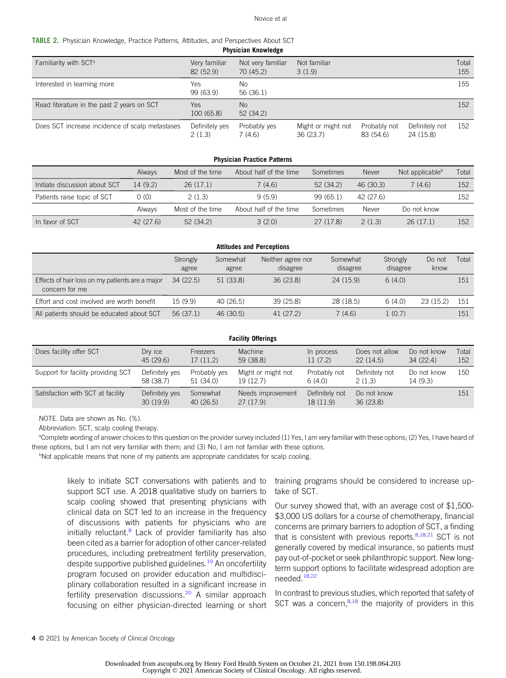#### Novice et al

<span id="page-5-0"></span>TABLE 2. Physician Knowledge, Practice Patterns, Attitudes, and Perspectives About SCT

| <b>FIIYSIGIAII NIIUWIEULE</b>                   |                            |                                |                                |                           |                             |              |
|-------------------------------------------------|----------------------------|--------------------------------|--------------------------------|---------------------------|-----------------------------|--------------|
| Familiarity with SCT <sup>a</sup>               | Very familiar<br>82 (52.9) | Not very familiar<br>70 (45.2) | Not familiar<br>3(1.9)         |                           |                             | Total<br>155 |
| Interested in learning more                     | Yes.<br>99 (63.9)          | No.<br>56 (36.1)               |                                |                           |                             | 155          |
| Read literature in the past 2 years on SCT      | <b>Yes</b><br>100 (65.8)   | N <sub>0</sub><br>52(34.2)     |                                |                           |                             | 152          |
| Does SCT increase incidence of scalp metastases | Definitely yes<br>2(1.3)   | Probably yes<br>7 (4.6)        | Might or might not<br>36(23.7) | Probably not<br>83 (54.6) | Definitely not<br>24 (15.8) | 152          |

Physician Knowledge

| <b>Physician Practice Patterns</b> |  |  |  |  |  |  |
|------------------------------------|--|--|--|--|--|--|
| Total                              |  |  |  |  |  |  |
| 152                                |  |  |  |  |  |  |
| 152                                |  |  |  |  |  |  |
|                                    |  |  |  |  |  |  |
| 152                                |  |  |  |  |  |  |
| Not applicable <sup>b</sup>        |  |  |  |  |  |  |

| <b>Attitudes and Perceptions</b>                                  |                   |                   |                               |                      |                      |                |       |
|-------------------------------------------------------------------|-------------------|-------------------|-------------------------------|----------------------|----------------------|----------------|-------|
|                                                                   | Strongly<br>agree | Somewhat<br>agree | Neither agree nor<br>disagree | Somewhat<br>disagree | Strongly<br>disagree | Do not<br>know | Total |
| Effects of hair loss on my patients are a major<br>concern for me | 34(22.5)          | 51(33.8)          | 36(23.8)                      | 24 (15.9)            | 6(4.0)               |                | 151   |
| Effort and cost involved are worth benefit                        | 15 (9.9)          | 40 (26.5)         | 39 (25.8)                     | 28 (18.5)            | 6(4.0)               | 23(15.2)       | 151   |
| All patients should be educated about SCT                         | 56 (37.1)         | 46 (30.5)         | 41 (27.2)                     | 7(4.6)               | 1(0.7)               |                | 151   |

| <b>Facility Offerings</b>          |                             |                           |                                |                             |                            |                         |              |
|------------------------------------|-----------------------------|---------------------------|--------------------------------|-----------------------------|----------------------------|-------------------------|--------------|
| Does facility offer SCT            | Dry ice<br>45 (29.6)        | Freezers<br>17(11.2)      | Machine<br>59 (38.8)           | In process<br>11(7.2)       | Does not allow<br>22(14.5) | Do not know<br>34(22.4) | Total<br>152 |
| Support for facility providing SCT | Definitely yes<br>58 (38.7) | Probably yes<br>51 (34.0) | Might or might not<br>19(12.7) | Probably not<br>6(4.0)      | Definitely not<br>2(1.3)   | Do not know<br>14 (9.3) | 150          |
| Satisfaction with SCT at facility  | Definitely yes<br>30(19.9)  | Somewhat<br>40(26.5)      | Needs improvement<br>27(17.9)  | Definitely not<br>18 (11.9) | Do not know<br>36(23.8)    |                         | 151          |

NOTE. Data are shown as No. (%).

Abbreviation: SCT, scalp cooling therapy.

<sup>a</sup>Complete wording of answer choices to this question on the provider survey included (1) Yes, I am very familiar with these options; (2) Yes, I have heard of these options, but I am not very familiar with them; and (3) No, I am not familiar with these options.

<sup>b</sup>Not applicable means that none of my patients are appropriate candidates for scalp cooling.

likely to initiate SCT conversations with patients and to support SCT use. A 2018 qualitative study on barriers to scalp cooling showed that presenting physicians with clinical data on SCT led to an increase in the frequency of discussions with patients for physicians who are initially reluctant.<sup>[8](#page-8-6)</sup> Lack of provider familiarity has also been cited as a barrier for adoption of other cancer-related procedures, including pretreatment fertility preservation, despite supportive published guidelines.<sup>[19](#page-8-9)</sup> An oncofertility program focused on provider education and multidisciplinary collaboration resulted in a significant increase in fertility preservation discussions.<sup>[20](#page-8-10)</sup> A similar approach focusing on either physician-directed learning or short

training programs should be considered to increase uptake of SCT.

Our survey showed that, with an average cost of \$1,500- \$3,000 US dollars for a course of chemotherapy, financial concerns are primary barriers to adoption of SCT, a finding that is consistent with previous reports. $8,18,21$  $8,18,21$  $8,18,21$  SCT is not generally covered by medical insurance, so patients must pay out-of-pocket or seek philanthropic support. New longterm support options to facilitate widespread adoption are needed.[18,](#page-8-8)[22](#page-8-12)

In contrast to previous studies, which reported that safety of SCT was a concern, $8,18$  $8,18$  $8,18$  the majority of providers in this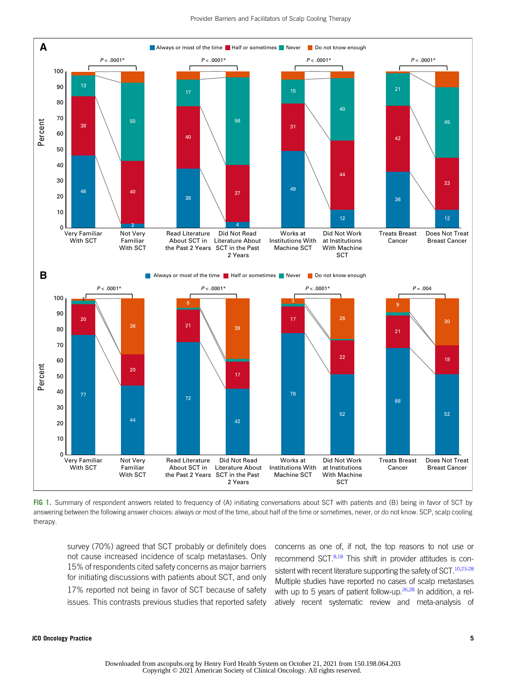

<span id="page-6-0"></span>FIG 1. Summary of respondent answers related to frequency of (A) initiating conversations about SCT with patients and (B) being in favor of SCT by answering between the following answer choices: always or most of the time, about half of the time or sometimes, never, or do not know. SCP, scalp cooling therapy.

survey (70%) agreed that SCT probably or definitely does not cause increased incidence of scalp metastases. Only 15% of respondents cited safety concerns as major barriers for initiating discussions with patients about SCT, and only 17% reported not being in favor of SCT because of safety issues. This contrasts previous studies that reported safety concerns as one of, if not, the top reasons to not use or recommend SCT.<sup>[8](#page-8-6)[,18](#page-8-8)</sup> This shift in provider attitudes is con-sistent with recent literature supporting the safety of SCT.<sup>10[,23](#page-8-14)[-28](#page-8-15)</sup> Multiple studies have reported no cases of scalp metastases with up to 5 years of patient follow-up. $26,28$  $26,28$  In addition, a relatively recent systematic review and meta-analysis of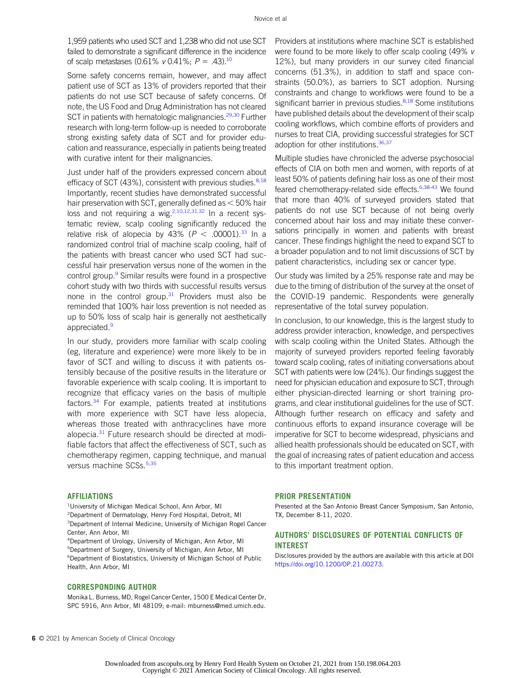1,959 patients who used SCT and 1,238 who did not use SCT failed to demonstrate a significant difference in the incidence of scalp metastases (0.61% v 0.41%;  $P = .43$ ).<sup>[10](#page-8-13)</sup>

Some safety concerns remain, however, and may affect patient use of SCT as 13% of providers reported that their patients do not use SCT because of safety concerns. Of note, the US Food and Drug Administration has not cleared SCT in patients with hematologic malignancies.<sup>29[,30](#page-9-0)</sup> Further research with long-term follow-up is needed to corroborate strong existing safety data of SCT and for provider education and reassurance, especially in patients being treated with curative intent for their malignancies.

Just under half of the providers expressed concern about efficacy of SCT (43%), consistent with previous studies. $8,18$  $8,18$ Importantly, recent studies have demonstrated successful hair preservation with SCT, generally defined as  $<$  50% hair loss and not requiring a wig.<sup>2,[10](#page-8-13),[12,](#page-8-18)[31](#page-9-1),[32](#page-9-2)</sup> In a recent systematic review, scalp cooling significantly reduced the relative risk of alopecia by 43% ( $P < .00001$ ).<sup>[33](#page-9-3)</sup> In a randomized control trial of machine scalp cooling, half of the patients with breast cancer who used SCT had successful hair preservation versus none of the women in the control group.<sup>9</sup> Similar results were found in a prospective cohort study with two thirds with successful results versus none in the control group. $31$  Providers must also be reminded that 100% hair loss prevention is not needed as up to 50% loss of scalp hair is generally not aesthetically appreciated.<sup>[9](#page-8-19)</sup>

In our study, providers more familiar with scalp cooling (eg, literature and experience) were more likely to be in favor of SCT and willing to discuss it with patients ostensibly because of the positive results in the literature or favorable experience with scalp cooling. It is important to recognize that efficacy varies on the basis of multiple factors.[34](#page-9-4) For example, patients treated at institutions with more experience with SCT have less alopecia, whereas those treated with anthracyclines have more alopecia.<sup>[31](#page-9-1)</sup> Future research should be directed at modifiable factors that affect the effectiveness of SCT, such as chemotherapy regimen, capping technique, and manual versus machine SCSs.<sup>[5](#page-8-4),[35](#page-9-5)</sup>

#### AFFILIATIONS

<sup>1</sup>University of Michigan Medical School, Ann Arbor, MI 2 Department of Dermatology, Henry Ford Hospital, Detroit, MI <sup>3</sup>Department of Internal Medicine, University of Michigan Rogel Cancer Center, Ann Arbor, MI

 Department of Urology, University of Michigan, Ann Arbor, MI Department of Surgery, University of Michigan, Ann Arbor, MI Department of Biostatistics, University of Michigan School of Public Health, Ann Arbor, MI

## CORRESPONDING AUTHOR

Monika L. Burness, MD, Rogel Cancer Center, 1500 E Medical Center Dr, SPC 5916, Ann Arbor, MI 48109; e-mail: [mburness@med.umich.edu](mailto:mburness@med.umich.edu).

Providers at institutions where machine SCT is established were found to be more likely to offer scalp cooling (49% v 12%), but many providers in our survey cited financial concerns (51.3%), in addition to staff and space constraints (50.0%), as barriers to SCT adoption. Nursing constraints and change to workflows were found to be a significant barrier in previous studies.<sup>[8](#page-8-6),[18](#page-8-8)</sup> Some institutions have published details about the development of their scalp cooling workflows, which combine efforts of providers and nurses to treat CIA, providing successful strategies for SCT adoption for other institutions.<sup>[36](#page-9-6)[,37](#page-9-7)</sup>

Multiple studies have chronicled the adverse psychosocial effects of CIA on both men and women, with reports of at least 50% of patients defining hair loss as one of their most feared chemotherapy-related side effects.<sup>[6](#page-8-20)[,38-](#page-9-8)[43](#page-9-9)</sup> We found that more than 40% of surveyed providers stated that patients do not use SCT because of not being overly concerned about hair loss and may initiate these conversations principally in women and patients with breast cancer. These findings highlight the need to expand SCT to a broader population and to not limit discussions of SCT by patient characteristics, including sex or cancer type.

Our study was limited by a 25% response rate and may be due to the timing of distribution of the survey at the onset of the COVID-19 pandemic. Respondents were generally representative of the total survey population.

In conclusion, to our knowledge, this is the largest study to address provider interaction, knowledge, and perspectives with scalp cooling within the United States. Although the majority of surveyed providers reported feeling favorably toward scalp cooling, rates of initiating conversations about SCT with patients were low (24%). Our findings suggest the need for physician education and exposure to SCT, through either physician-directed learning or short training programs, and clear institutional guidelines for the use of SCT. Although further research on efficacy and safety and continuous efforts to expand insurance coverage will be imperative for SCT to become widespread, physicians and allied health professionals should be educated on SCT, with the goal of increasing rates of patient education and access to this important treatment option.

#### PRIOR PRESENTATION

Presented at the San Antonio Breast Cancer Symposium, San Antonio, TX, December 8-11, 2020.

# AUTHORS' DISCLOSURES OF POTENTIAL CONFLICTS OF INTEREST

Disclosures provided by the authors are available with this article at DOI [https://doi.org/10.1200/OP.21.00273.](https://ascopubs.org/doi/full/10.1200/OP.21.00273)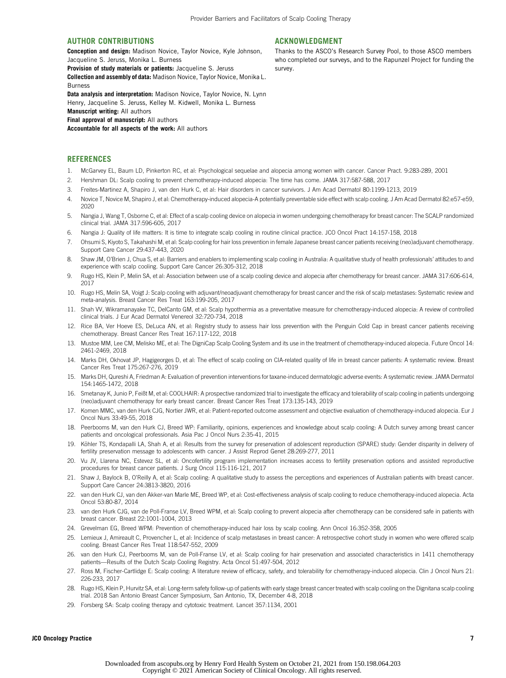survey.

ACKNOWLEDGMENT

Thanks to the ASCO's Research Survey Pool, to those ASCO members who completed our surveys, and to the Rapunzel Project for funding the

#### AUTHOR CONTRIBUTIONS

Conception and design: Madison Novice, Taylor Novice, Kyle Johnson, Jacqueline S. Jeruss, Monika L. Burness

Provision of study materials or patients: Jacqueline S. Jeruss

Collection and assembly of data: Madison Novice, Taylor Novice, Monika L. Burness

Data analysis and interpretation: Madison Novice, Taylor Novice, N. Lynn Henry, Jacqueline S. Jeruss, Kelley M. Kidwell, Monika L. Burness Manuscrint writing: All authors Final approval of manuscript: All authors

Accountable for all aspects of the work: All authors

#### **REFERENCES**

- <span id="page-8-0"></span>1. McGarvey EL, Baum LD, Pinkerton RC, et al: Psychological sequelae and alopecia among women with cancer. Cancer Pract. 9:283-289, 2001
- <span id="page-8-1"></span>2. Hershman DL: Scalp cooling to prevent chemotherapy-induced alopecia: The time has come. JAMA 317:587-588, 2017
- <span id="page-8-2"></span>3. Freites-Martinez A, Shapiro J, van den Hurk C, et al: Hair disorders in cancer survivors. J Am Acad Dermatol 80:1199-1213, 2019
- <span id="page-8-3"></span>4. Novice T, Novice M, Shapiro J, et al: Chemotherapy-induced alopecia-A potentially preventable side effect with scalp cooling. J Am Acad Dermatol 82:e57-e59, 2020
- <span id="page-8-4"></span>5. Nangia J, Wang T, Osborne C, et al: Effect of a scalp cooling device on alopecia in women undergoing chemotherapy for breast cancer: The SCALP randomized clinical trial. JAMA 317:596-605, 2017
- <span id="page-8-20"></span>6. Nangia J: Quality of life matters: It is time to integrate scalp cooling in routine clinical practice. JCO Oncol Pract 14:157-158, 2018
- 7. Ohsumi S, Kiyoto S, Takahashi M, et al: Scalp cooling for hair loss prevention in female Japanese breast cancer patients receiving (neo)adjuvant chemotherapy. Support Care Cancer 29:437-443, 2020
- <span id="page-8-6"></span>8. Shaw JM, O'Brien J, Chua S, et al: Barriers and enablers to implementing scalp cooling in Australia: A qualitative study of health professionals' attitudes to and experience with scalp cooling. Support Care Cancer 26:305-312, 2018
- <span id="page-8-19"></span>9. Rugo HS, Klein P, Melin SA, et al: Association between use of a scalp cooling device and alopecia after chemotherapy for breast cancer. JAMA 317:606-614, 2017
- <span id="page-8-13"></span>10. Rugo HS, Melin SA, Voigt J: Scalp cooling with adjuvant/neoadjuvant chemotherapy for breast cancer and the risk of scalp metastases: Systematic review and meta-analysis. Breast Cancer Res Treat 163:199-205, 2017
- 11. Shah VV, Wikramanayake TC, DelCanto GM, et al: Scalp hypothermia as a preventative measure for chemotherapy-induced alopecia: A review of controlled clinical trials. J Eur Acad Dermatol Venereol 32:720-734, 2018
- <span id="page-8-18"></span>12. Rice BA, Ver Hoeve ES, DeLuca AN, et al: Registry study to assess hair loss prevention with the Penguin Cold Cap in breast cancer patients receiving chemotherapy. Breast Cancer Res Treat 167:117-122, 2018
- 13. Mustoe MM, Lee CM, Melisko ME, et al: The DigniCap Scalp Cooling System and its use in the treatment of chemotherapy-induced alopecia. Future Oncol 14: 2461-2469, 2018
- 14. Marks DH, Okhovat JP, Hagigeorges D, et al: The effect of scalp cooling on CIA-related quality of life in breast cancer patients: A systematic review. Breast Cancer Res Treat 175:267-276, 2019
- 15. Marks DH, Qureshi A, Friedman A: Evaluation of prevention interventions for taxane-induced dermatologic adverse events: A systematic review. JAMA Dermatol 154:1465-1472, 2018
- <span id="page-8-5"></span>16. Smetanay K, Junio P, Feißt M, et al: COOLHAIR: A prospective randomized trial to investigate the efficacy and tolerability of scalp cooling in patients undergoing (neo)adjuvant chemotherapy for early breast cancer. Breast Cancer Res Treat 173:135-143, 2019
- <span id="page-8-7"></span>17. Komen MMC, van den Hurk CJG, Nortier JWR, et al: Patient-reported outcome assessment and objective evaluation of chemotherapy-induced alopecia. Eur J Oncol Nurs 33:49-55, 2018
- <span id="page-8-8"></span>18. Peerbooms M, van den Hurk CJ, Breed WP: Familiarity, opinions, experiences and knowledge about scalp cooling: A Dutch survey among breast cancer patients and oncological professionals. Asia Pac J Oncol Nurs 2:35-41, 2015
- <span id="page-8-9"></span>19. Köhler TS, Kondapalli LA, Shah A, et al: Results from the survey for preservation of adolescent reproduction (SPARE) study: Gender disparity in delivery of fertility preservation message to adolescents with cancer. J Assist Reprod Genet 28:269-277, 2011
- <span id="page-8-10"></span>20. Vu JV, Llarena NC, Estevez SL, et al: Oncofertility program implementation increases access to fertility preservation options and assisted reproductive procedures for breast cancer patients. J Surg Oncol 115:116-121, 2017
- <span id="page-8-11"></span>21. Shaw J, Baylock B, O'Reilly A, et al: Scalp cooling: A qualitative study to assess the perceptions and experiences of Australian patients with breast cancer. Support Care Cancer 24:3813-3820, 2016
- <span id="page-8-12"></span>22. van den Hurk CJ, van den Akker-van Marle ME, Breed WP, et al: Cost-effectiveness analysis of scalp cooling to reduce chemotherapy-induced alopecia. Acta Oncol 53:80-87, 2014
- <span id="page-8-14"></span>23. van den Hurk CJG, van de Poll-Franse LV, Breed WPM, et al: Scalp cooling to prevent alopecia after chemotherapy can be considered safe in patients with breast cancer. Breast 22:1001-1004, 2013
- 24. Grevelman EG, Breed WPM: Prevention of chemotherapy-induced hair loss by scalp cooling. Ann Oncol 16:352-358, 2005
- 25. Lemieux J, Amireault C, Provencher L, et al: Incidence of scalp metastases in breast cancer: A retrospective cohort study in women who were offered scalp cooling. Breast Cancer Res Treat 118:547-552, 2009
- <span id="page-8-16"></span>26. van den Hurk CJ, Peerbooms M, van de Poll-Franse LV, et al: Scalp cooling for hair preservation and associated characteristics in 1411 chemotherapy patients—Results of the Dutch Scalp Cooling Registry. Acta Oncol 51:497-504, 2012
- 27. Ross M, Fischer-Cartlidge E: Scalp cooling: A literature review of efficacy, safety, and tolerability for chemotherapy-induced alopecia. Clin J Oncol Nurs 21: 226-233, 2017
- <span id="page-8-15"></span>28. Rugo HS, Klein P, Hurvitz SA, et al: Long-term safety follow-up of patients with early stage breast cancer treated with scalp cooling on the Dignitana scalp cooling trial. 2018 San Antonio Breast Cancer Symposium, San Antonio, TX, December 4-8, 2018
- <span id="page-8-17"></span>29. Forsberg SA: Scalp cooling therapy and cytotoxic treatment. Lancet 357:1134, 2001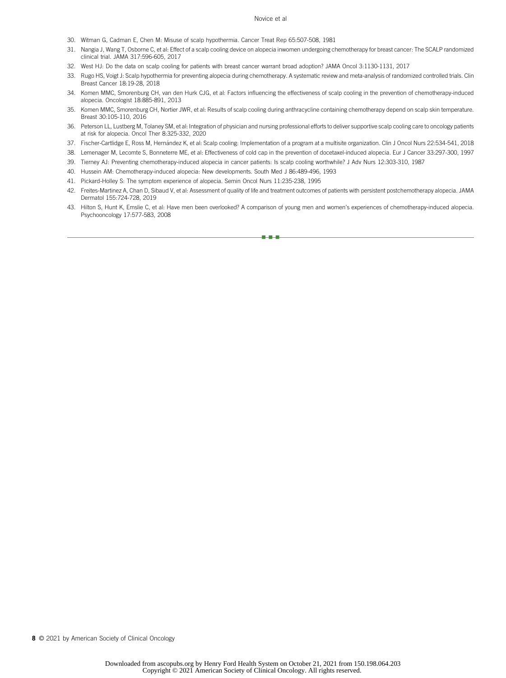#### Novice et al

- <span id="page-9-0"></span>30. Witman G, Cadman E, Chen M: Misuse of scalp hypothermia. Cancer Treat Rep 65:507-508, 1981
- <span id="page-9-1"></span>31. Nangia J, Wang T, Osborne C, et al: Effect of a scalp cooling device on alopecia inwomen undergoing chemotherapy for breast cancer: The SCALP randomized clinical trial. JAMA 317:596-605, 2017
- <span id="page-9-2"></span>32. West HJ: Do the data on scalp cooling for patients with breast cancer warrant broad adoption? JAMA Oncol 3:1130-1131, 2017
- <span id="page-9-3"></span>33. Rugo HS, Voigt J: Scalp hypothermia for preventing alopecia during chemotherapy. A systematic review and meta-analysis of randomized controlled trials. Clin Breast Cancer 18:19-28, 2018
- <span id="page-9-4"></span>34. Komen MMC, Smorenburg CH, van den Hurk CJG, et al: Factors influencing the effectiveness of scalp cooling in the prevention of chemotherapy-induced alopecia. Oncologist 18:885-891, 2013
- <span id="page-9-5"></span>35. Komen MMC, Smorenburg CH, Nortier JWR, et al: Results of scalp cooling during anthracycline containing chemotherapy depend on scalp skin temperature. Breast 30:105-110, 2016
- <span id="page-9-6"></span>36. Peterson LL, Lustberg M, Tolaney SM, et al: Integration of physician and nursing professional efforts to deliver supportive scalp cooling care to oncology patients at risk for alopecia. Oncol Ther 8:325-332, 2020
- <span id="page-9-7"></span>37. Fischer-Cartlidge E, Ross M, Hernández K, et al: Scalp cooling: Implementation of a program at a multisite organization. Clin J Oncol Nurs 22:534-541, 2018
- <span id="page-9-8"></span>38. Lemenager M, Lecomte S, Bonneterre ME, et al: Effectiveness of cold cap in the prevention of docetaxel-induced alopecia. Eur J Cancer 33:297-300, 1997
- 39. Tierney AJ: Preventing chemotherapy-induced alopecia in cancer patients: Is scalp cooling worthwhile? J Adv Nurs 12:303-310, 1987
- 40. Hussein AM: Chemotherapy-induced alopecia: New developments. South Med J 86:489-496, 1993
- 41. Pickard-Holley S: The symptom experience of alopecia. Semin Oncol Nurs 11:235-238, 1995
- 42. Freites-Martinez A, Chan D, Sibaud V, et al: Assessment of quality of life and treatment outcomes of patients with persistent postchemotherapy alopecia. JAMA Dermatol 155:724-728, 2019
- <span id="page-9-9"></span>43. Hilton S, Hunt K, Emslie C, et al: Have men been overlooked? A comparison of young men and women's experiences of chemotherapy-induced alopecia. Psychooncology 17:577-583, 2008

nnn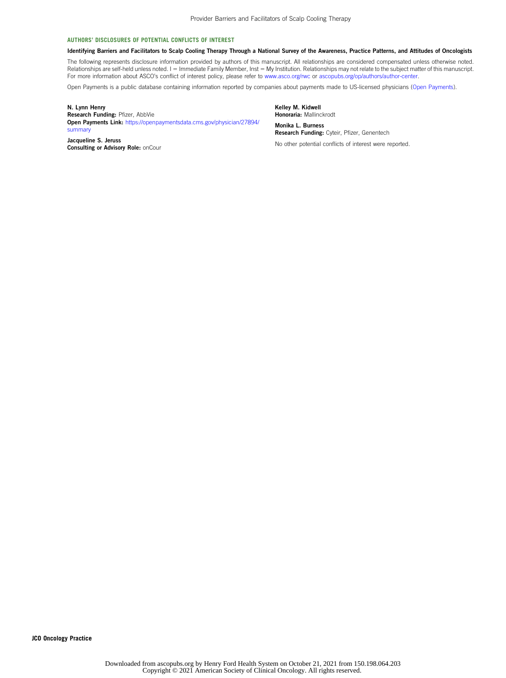#### AUTHORS' DISCLOSURES OF POTENTIAL CONFLICTS OF INTEREST

#### Identifying Barriers and Facilitators to Scalp Cooling Therapy Through a National Survey of the Awareness, Practice Patterns, and Attitudes of Oncologists

The following represents disclosure information provided by authors of this manuscript. All relationships are considered compensated unless otherwise noted. Relationships are self-held unless noted. I = Immediate Family Member, Inst = My Institution. Relationships may not relate to the subject matter of this manuscript. For more information about ASCO's conflict of interest policy, please refer to [www.asco.org/rwc](http://www.asco.org/rwc) or [ascopubs.org/op/authors/author-center](http://ascopubs.org/op/authors/author-center).

Open Payments is a public database containing information reported by companies about payments made to US-licensed physicians [\(Open Payments](https://openpaymentsdata.cms.gov/)).

N. Lynn Henry Research Funding: Pfizer, AbbVie Open Payments Link: [https://openpaymentsdata.cms.gov/physician/27894/](https://openpaymentsdata.cms.gov/physician/27894/summary) [summary](https://openpaymentsdata.cms.gov/physician/27894/summary) Jacqueline S. Jeruss

Consulting or Advisory Role: onCour

Kelley M. Kidwell Honoraria: Mallinckrodt

Monika L. Burness Research Funding: Cyteir, Pfizer, Genentech

No other potential conflicts of interest were reported.